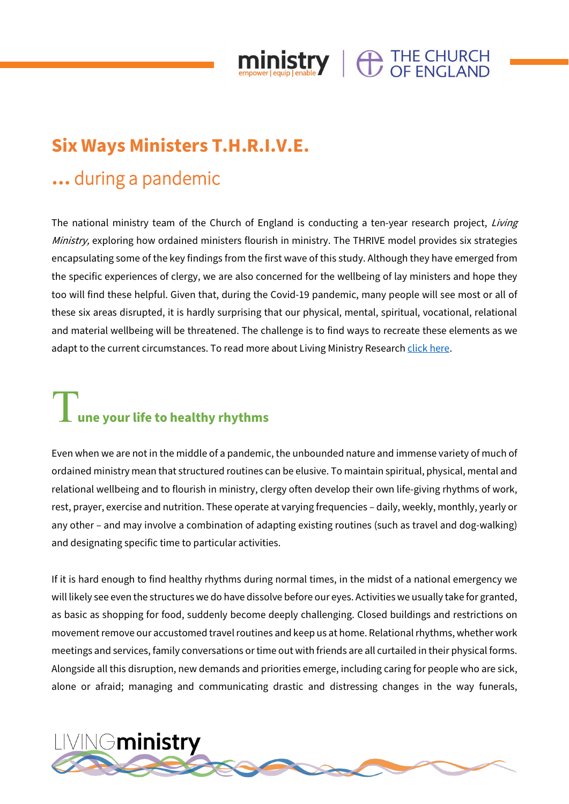

### **Six Ways Ministers T.H.R.I.V.E.**

### **…** during a pandemic

The national ministry team of the Church of England is conducting a ten-year research project, Living Ministry, exploring how ordained ministers flourish in ministry. The THRIVE model provides six strategies encapsulating some of the key findings from the first wave of this study. Although they have emerged from the specific experiences of clergy, we are also concerned for the wellbeing of lay ministers and hope they too will find these helpful. Given that, during the Covid-19 pandemic, many people will see most or all of these six areas disrupted, it is hardly surprising that our physical, mental, spiritual, vocational, relational and material wellbeing will be threatened. The challenge is to find ways to recreate these elements as we adapt to the current circumstances. To read more about Living Ministry Researc[h click here.](https://www.churchofengland.org/ministry-development)

# **T** une your life to healthy rhythms

Even when we are not in the middle of a pandemic, the unbounded nature and immense variety of much of ordained ministry mean that structured routines can be elusive. To maintain spiritual, physical, mental and relational wellbeing and to flourish in ministry, clergy often develop their own life-giving rhythms of work, rest, prayer, exercise and nutrition. These operate at varying frequencies – daily, weekly, monthly, yearly or any other – and may involve a combination of adapting existing routines (such as travel and dog-walking) and designating specific time to particular activities.

If it is hard enough to find healthy rhythms during normal times, in the midst of a national emergency we will likely see even the structures we do have dissolve before our eyes. Activities we usually take for granted, as basic as shopping for food, suddenly become deeply challenging. Closed buildings and restrictions on movement remove our accustomed travel routines and keep us at home. Relational rhythms, whether work meetings and services, family conversations or time out with friends are all curtailed in their physical forms. Alongside all this disruption, new demands and priorities emerge, including caring for people who are sick, alone or afraid; managing and communicating drastic and distressing changes in the way funerals,

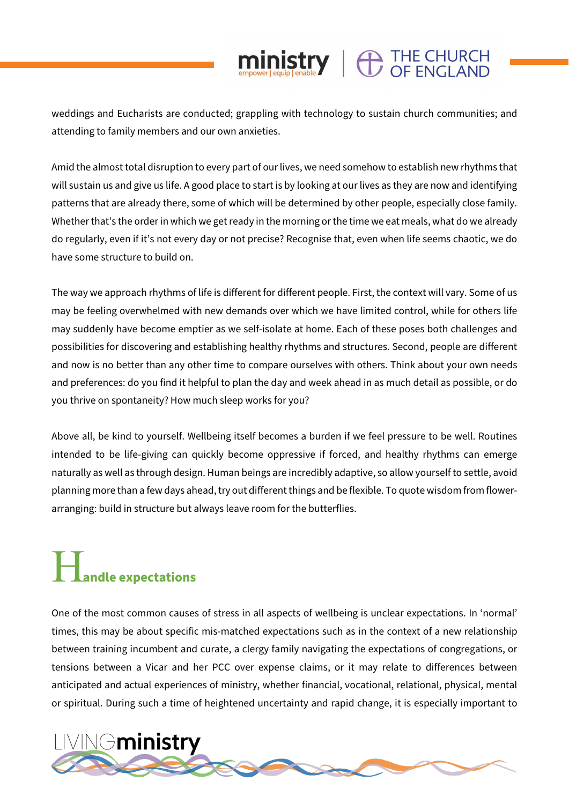### $\mathop{\hbox{ministry}}\limits_{\hbox{\tiny\rm cmp/equil p}}\parallel \bigoplus\limits_{\hbox{\tiny\rm CDF}} \mathop{\hbox{THE CHURCH}}\limits_{\hbox{\tiny\rm CFLAND}}$

weddings and Eucharists are conducted; grappling with technology to sustain church communities; and attending to family members and our own anxieties.

Amid the almost total disruption to every part of our lives, we need somehow to establish new rhythms that will sustain us and give us life. A good place to start is by looking at our lives as they are now and identifying patterns that are already there, some of which will be determined by other people, especially close family. Whether that's the order in which we get ready in the morning or the time we eat meals, what do we already do regularly, even if it's not every day or not precise? Recognise that, even when life seems chaotic, we do have some structure to build on.

The way we approach rhythms of life is different for different people. First, the context will vary. Some of us may be feeling overwhelmed with new demands over which we have limited control, while for others life may suddenly have become emptier as we self-isolate at home. Each of these poses both challenges and possibilities for discovering and establishing healthy rhythms and structures. Second, people are different and now is no better than any other time to compare ourselves with others. Think about your own needs and preferences: do you find it helpful to plan the day and week ahead in as much detail as possible, or do you thrive on spontaneity? How much sleep works for you?

Above all, be kind to yourself. Wellbeing itself becomes a burden if we feel pressure to be well. Routines intended to be life-giving can quickly become oppressive if forced, and healthy rhythms can emerge naturally as well as through design. Human beings are incredibly adaptive, so allow yourself to settle, avoid planning more than a few days ahead, try out different things and be flexible. To quote wisdom from flowerarranging: build in structure but always leave room for the butterflies.

# H**andle expectations**

One of the most common causes of stress in all aspects of wellbeing is unclear expectations. In 'normal' times, this may be about specific mis-matched expectations such as in the context of a new relationship between training incumbent and curate, a clergy family navigating the expectations of congregations, or tensions between a Vicar and her PCC over expense claims, or it may relate to differences between anticipated and actual experiences of ministry, whether financial, vocational, relational, physical, mental or spiritual. During such a time of heightened uncertainty and rapid change, it is especially important to

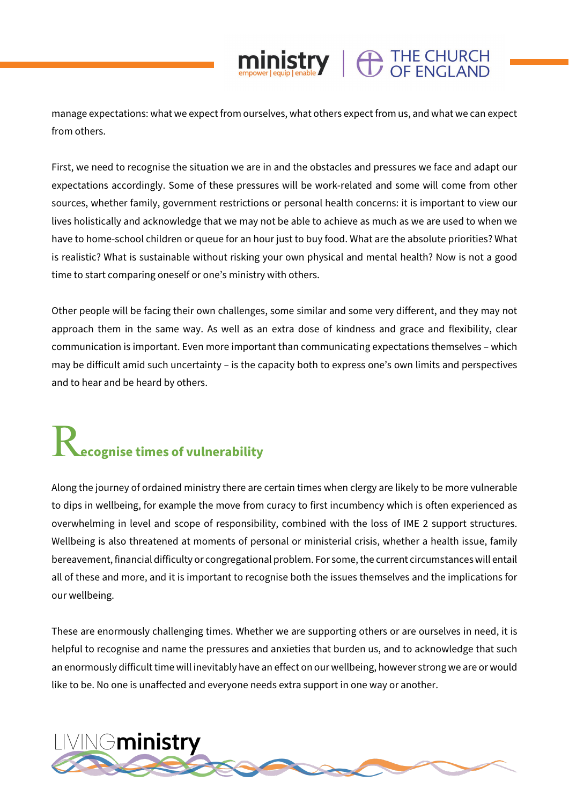#### manage expectations: what we expect from ourselves, what others expect from us, and what we can expect from others.

 $\mathop{\text{min}}_{\text{empower}|\text{equip}| \text{enable}} \parallel \bigoplus_{\text{OF}} \text{LHCH}$ 

First, we need to recognise the situation we are in and the obstacles and pressures we face and adapt our expectations accordingly. Some of these pressures will be work-related and some will come from other sources, whether family, government restrictions or personal health concerns: it is important to view our lives holistically and acknowledge that we may not be able to achieve as much as we are used to when we have to home-school children or queue for an hour just to buy food. What are the absolute priorities? What is realistic? What is sustainable without risking your own physical and mental health? Now is not a good time to start comparing oneself or one's ministry with others.

Other people will be facing their own challenges, some similar and some very different, and they may not approach them in the same way. As well as an extra dose of kindness and grace and flexibility, clear communication is important. Even more important than communicating expectations themselves – which may be difficult amid such uncertainty – is the capacity both to express one's own limits and perspectives and to hear and be heard by others.

## R**ecognise times of vulnerability**

Along the journey of ordained ministry there are certain times when clergy are likely to be more vulnerable to dips in wellbeing, for example the move from curacy to first incumbency which is often experienced as overwhelming in level and scope of responsibility, combined with the loss of IME 2 support structures. Wellbeing is also threatened at moments of personal or ministerial crisis, whether a health issue, family bereavement, financial difficulty or congregational problem. For some, the current circumstances will entail all of these and more, and it is important to recognise both the issues themselves and the implications for our wellbeing.

These are enormously challenging times. Whether we are supporting others or are ourselves in need, it is helpful to recognise and name the pressures and anxieties that burden us, and to acknowledge that such an enormously difficult time will inevitably have an effect on our wellbeing, however strong we are or would like to be. No one is unaffected and everyone needs extra support in one way or another.

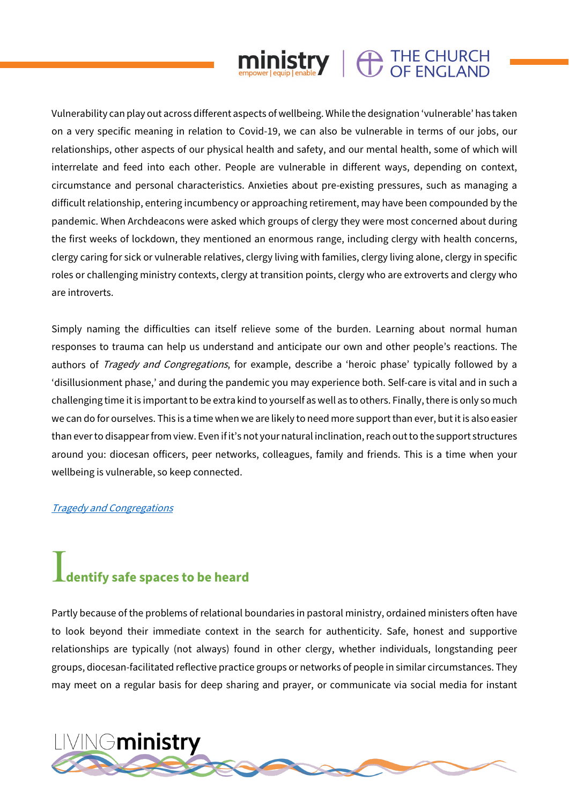## **ministry**  $\bigoplus$  THE CHURCH

Vulnerability can play out across different aspects of wellbeing. While the designation 'vulnerable' has taken on a very specific meaning in relation to Covid-19, we can also be vulnerable in terms of our jobs, our relationships, other aspects of our physical health and safety, and our mental health, some of which will interrelate and feed into each other. People are vulnerable in different ways, depending on context, circumstance and personal characteristics. Anxieties about pre-existing pressures, such as managing a difficult relationship, entering incumbency or approaching retirement, may have been compounded by the pandemic. When Archdeacons were asked which groups of clergy they were most concerned about during the first weeks of lockdown, they mentioned an enormous range, including clergy with health concerns, clergy caring for sick or vulnerable relatives, clergy living with families, clergy living alone, clergy in specific roles or challenging ministry contexts, clergy at transition points, clergy who are extroverts and clergy who are introverts.

Simply naming the difficulties can itself relieve some of the burden. Learning about normal human responses to trauma can help us understand and anticipate our own and other people's reactions. The authors of *Tragedy and Congregations*, for example, describe a 'heroic phase' typically followed by a 'disillusionment phase,' and during the pandemic you may experience both. Self-care is vital and in such a challenging time it is important to be extra kind to yourself as well as to others. Finally, there is only so much we can do for ourselves. This is a time when we are likely to need more support than ever, but it is also easier than ever to disappear from view. Even if it's not your natural inclination, reach out to the support structures around you: diocesan officers, peer networks, colleagues, family and friends. This is a time when your wellbeing is vulnerable, so keep connected.

#### [Tragedy and Congregations](https://tragedyandcongregations.org.uk/2020/03/24/guidance-for-ministers-as-the-coronavirus-crisis-deepens/)

## I**dentify safe spaces to be heard**

Partly because of the problems of relational boundaries in pastoral ministry, ordained ministers often have to look beyond their immediate context in the search for authenticity. Safe, honest and supportive relationships are typically (not always) found in other clergy, whether individuals, longstanding peer groups, diocesan-facilitated reflective practice groups or networks of people in similar circumstances. They may meet on a regular basis for deep sharing and prayer, or communicate via social media for instant

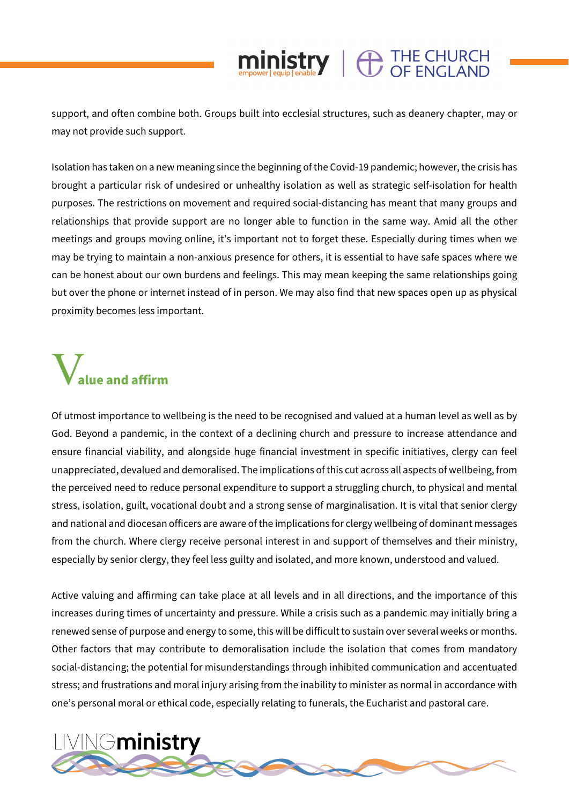#### support, and often combine both. Groups built into ecclesial structures, such as deanery chapter, may or may not provide such support.

 $\mathop{\hbox{ministry}}\limits_{\hbox{\tiny\rm emp/ver/equip}[\hbox{\tiny\rm enable}}\mathbf{Y}}\parallel \bigoplus\limits_{\hbox{\tiny\rm OF}}\substack{\hbox{THE CHURCH}}\limits$ 

Isolation has taken on a new meaning since the beginning of the Covid-19 pandemic; however, the crisis has brought a particular risk of undesired or unhealthy isolation as well as strategic self-isolation for health purposes. The restrictions on movement and required social-distancing has meant that many groups and relationships that provide support are no longer able to function in the same way. Amid all the other meetings and groups moving online, it's important not to forget these. Especially during times when we may be trying to maintain a non-anxious presence for others, it is essential to have safe spaces where we can be honest about our own burdens and feelings. This may mean keeping the same relationships going but over the phone or internet instead of in person. We may also find that new spaces open up as physical proximity becomes less important.

## V**alue and affirm**

Of utmost importance to wellbeing is the need to be recognised and valued at a human level as well as by God. Beyond a pandemic, in the context of a declining church and pressure to increase attendance and ensure financial viability, and alongside huge financial investment in specific initiatives, clergy can feel unappreciated, devalued and demoralised. The implications of this cut across all aspects of wellbeing, from the perceived need to reduce personal expenditure to support a struggling church, to physical and mental stress, isolation, guilt, vocational doubt and a strong sense of marginalisation. It is vital that senior clergy and national and diocesan officers are aware of the implications for clergy wellbeing of dominant messages from the church. Where clergy receive personal interest in and support of themselves and their ministry, especially by senior clergy, they feel less guilty and isolated, and more known, understood and valued.

Active valuing and affirming can take place at all levels and in all directions, and the importance of this increases during times of uncertainty and pressure. While a crisis such as a pandemic may initially bring a renewed sense of purpose and energy to some, this will be difficult to sustain over several weeks or months. Other factors that may contribute to demoralisation include the isolation that comes from mandatory social-distancing; the potential for misunderstandings through inhibited communication and accentuated stress; and frustrations and moral injury arising from the inability to minister as normal in accordance with one's personal moral or ethical code, especially relating to funerals, the Eucharist and pastoral care.